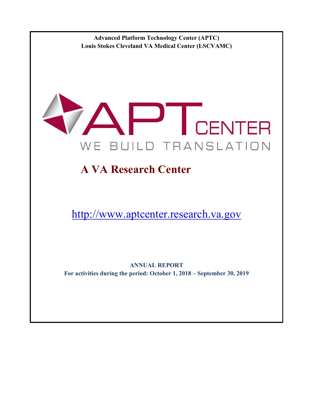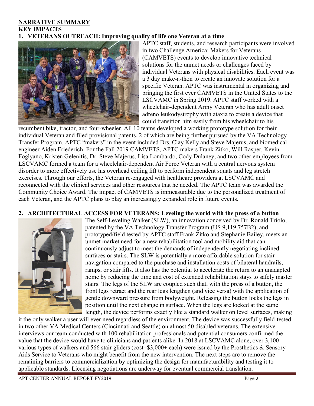#### **NARRATIVE SUMMARY KEY IMPACTS 1. VETERANS OUTREACH: Improving quality of life one Veteran at a time**



APTC staff, students, and research participants were involved in two Challenge America: Makers for Veterans (CAMVETS) events to develop innovative technical solutions for the unmet needs or challenges faced by individual Veterans with physical disabilities. Each event was a 3 day make-a-thon to create an innovate solution for a specific Veteran. APTC was instrumental in organizing and bringing the first ever CAMVETS in the United States to the LSCVAMC in Spring 2019. APTC staff worked with a wheelchair-dependent Army Veteran who has adult onset adreno leukodystrophy with ataxia to create a device that could transition him easily from his wheelchair to his

recumbent bike, tractor, and four-wheeler. All 10 teams developed a working prototype solution for their individual Veteran and filed provisional patents, 2 of which are being further pursued by the VA Technology Transfer Program. APTC "makers" in the event included Drs. Clay Kelly and Steve Majerus, and biomedical engineer Aiden Friederich. For the Fall 2019 CAMVETS, APTC makers Frank Zitko, Will Rasper, Kevin Foglyano, Kristen Gelenitis, Dr. Steve Majerus, Lisa Lombardo, Cody Dulaney, and two other employees from LSCVAMC formed a team for a wheelchair-dependent Air Force Veteran with a central nervous system disorder to more effectively use his overhead ceiling lift to perform independent squats and leg stretch exercises. Through our efforts, the Veteran re-engaged with healthcare providers at LSCVAMC and reconnected with the clinical services and other resources that he needed. The APTC team was awarded the Community Choice Award. The impact of CAMVETS is immeasurable due to the personalized treatment of each Veteran, and the APTC plans to play an increasingly expanded role in future events.

#### **2. ARCHITECTURAL ACCESS FOR VETERANS: Leveling the world with the press of a button**



The Self-Leveling Walker (SLW), an innovation conceived by Dr. Ronald Triolo, patented by the VA Technology Transfer Program (US 9,119,757B2), and prototyped/field tested by APTC staff Frank Zitko and Stephanie Bailey, meets an unmet market need for a new rehabilitation tool and mobility aid that can continuously adjust to meet the demands of independently negotiating inclined surfaces or stairs. The SLW is potentially a more affordable solution for stair navigation compared to the purchase and installation costs of bilateral handrails, ramps, or stair lifts. It also has the potential to accelerate the return to an unadapted home by reducing the time and cost of extended rehabilitation stays to safely master stairs. The legs of the SLW are coupled such that, with the press of a button, the front legs retract and the rear legs lengthen (and vice versa) with the application of gentle downward pressure from bodyweight. Releasing the button locks the legs in position until the next change in surface. When the legs are locked at the same length, the device performs exactly like a standard walker on level surfaces, making

it the only walker a user will ever need regardless of the environment. The device was successfully field-tested in two other VA Medical Centers (Cincinnati and Seattle) on almost 50 disabled veterans. The extensive interviews our team conducted with 100 rehabilitation professionals and potential consumers confirmed the value that the device would have to clinicians and patients alike. In 2018 at LSCVAMC alone, over 3,100 various types of walkers and 566 stair gliders (cost= $\$3,000+$  each) were issued by the Prosthetics & Sensory Aids Service to Veterans who might benefit from the new intervention. The next steps are to remove the remaining barriers to commercialization by optimizing the design for manufacturability and testing it to applicable standards. Licensing negotiations are underway for eventual commercial translation.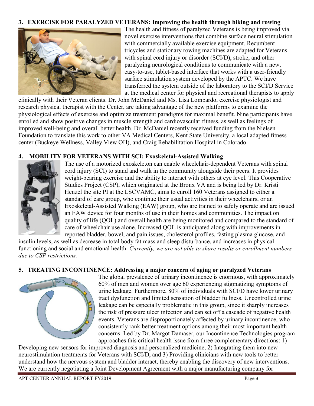#### **3. EXERCISE FOR PARALYZED VETERANS: Improving the health through biking and rowing**



The health and fitness of paralyzed Veterans is being improved via novel exercise interventions that combine surface neural stimulation with commercially available exercise equipment. Recumbent tricycles and stationary rowing machines are adapted for Veterans with spinal cord injury or disorder (SCI/D), stroke, and other paralyzing neurological conditions to communicate with a new, easy-to-use, tablet-based interface that works with a user-friendly surface stimulation system developed by the APTC. We have transferred the system outside of the laboratory to the SCI/D Service at the medical center for physical and recreational therapists to apply

clinically with their Veteran clients. Dr. John McDaniel and Ms. Lisa Lombardo, exercise physiologist and research physical therapist with the Center, are taking advantage of the new platforms to examine the physiological effects of exercise and optimize treatment paradigms for maximal benefit. Nine participants have enrolled and show positive changes in muscle strength and cardiovascular fitness, as well as feelings of improved well-being and overall better health. Dr. McDaniel recently received funding from the Nielsen Foundation to translate this work to other VA Medical Centers, Kent State University, a local adapted fitness center (Buckeye Wellness, Valley View OH), and Craig Rehabilitation Hospital in Colorado.

#### **4. MOBILITY FOR VETERANS WITH SCI: Exoskeletal-Assisted Walking**



The use of a motorized exoskeleton can enable wheelchair-dependent Veterans with spinal cord injury (SCI) to stand and walk in the community alongside their peers. It provides weight-bearing exercise and the ability to interact with others at eye level. This Cooperative Studies Project (CSP), which originated at the Bronx VA and is being led by Dr. Kristi Henzel the site PI at the LSCVAMC, aims to enroll 160 Veterans assigned to either a standard of care group, who continue their usual activities in their wheelchairs, or an Exoskeletal-Assisted Walking (EAW) group, who are trained to safely operate and are issued an EAW device for four months of use in their homes and communities. The impact on quality of life (QOL) and overall health are being monitored and compared to the standard of care of wheelchair use alone. Increased QOL is anticipated along with improvements in reported bladder, bowel, and pain issues, cholesterol profiles, fasting plasma glucose, and

insulin levels, as well as decrease in total body fat mass and sleep disturbance, and increases in physical functioning and social and emotional health. *Currently, we are not able to share results or enrollment numbers due to CSP restrictions.*

#### **5. TREATING INCONTINENCE: Addressing a major concern of aging or paralyzed Veterans**



The global prevalence of urinary incontinence is enormous, with approximately 60% of men and women over age 60 experiencing stigmatizing symptoms of urine leakage. Furthermore, 80% of individuals with SCI/D have lower urinary tract dysfunction and limited sensation of bladder fullness. Uncontrolled urine leakage can be especially problematic in this group, since it sharply increases the risk of pressure ulcer infection and can set off a cascade of negative health events. Veterans are disproportionately affected by urinary incontinence, who consistently rank better treatment options among their most important health concerns. Led by Dr. Margot Damaser, our Incontinence Technologies program approaches this critical health issue from three complementary directions: 1)

Developing new sensors for improved diagnosis and personalized medicine, 2) Integrating them into new neurostimulation treatments for Veterans with SCI/D, and 3) Providing clinicians with new tools to better understand how the nervous system and bladder interact, thereby enabling the discovery of new interventions. We are currently negotiating a Joint Development Agreement with a major manufacturing company for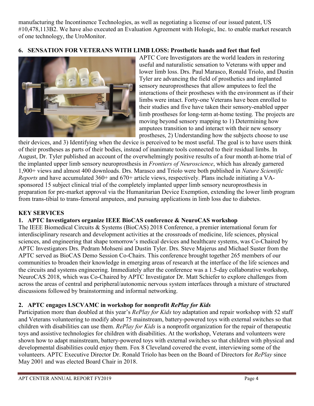manufacturing the Incontinence Technologies, as well as negotiating a license of our issued patent, US #10,478,113B2. We have also executed an Evaluation Agreement with Hologic, Inc. to enable market research of one technology, the UroMonitor.

# **6. SENSATION FOR VETERANS WITH LIMB LOSS: Prosthetic hands and feet that feel**



APTC Core Investigators are the world leaders in restoring useful and naturalistic sensation to Veterans with upper and lower limb loss. Drs. Paul Marasco, Ronald Triolo, and Dustin Tyler are advancing the field of prosthetics and implanted sensory neuroprostheses that allow amputees to feel the interactions of their prostheses with the environment as if their limbs were intact. Forty-one Veterans have been enrolled to their studies and five have taken their sensory-enabled upper limb prostheses for long-term at-home testing. The projects are moving beyond sensory mapping to 1) Determining how amputees transition to and interact with their new sensory prostheses, 2) Understanding how the subjects choose to use

their devices, and 3) Identifying when the device is perceived to be most useful. The goal is to have users think of their prostheses as parts of their bodies, instead of inanimate tools connected to their residual limbs. In August, Dr. Tyler published an account of the overwhelmingly positive results of a four month at-home trial of the implanted upper limb sensory neuroprosthesis in *Frontiers of Neuroscience*, which has already garnered 1,900+ views and almost 400 downloads. Drs. Marasco and Triolo were both published in *Nature Scientific Reports* and have accumulated 360+ and 670+ article views, respectively. Plans include initiating a VAsponsored 15 subject clinical trial of the completely implanted upper limb sensory neuroprosthesis in preparation for pre-market approval via the Humanitarian Device Exemption, extending the lower limb program from trans-tibial to trans-femoral amputees, and pursuing applications in limb loss due to diabetes.

### **KEY SERVICES**

### **1. APTC Investigators organize IEEE BioCAS conference & NeuroCAS workshop**

The IEEE Biomedical Circuits & Systems (BioCAS) 2018 Conference, a premier international forum for interdisciplinary research and development activities at the crossroads of medicine, life sciences, physical sciences, and engineering that shape tomorrow's medical devices and healthcare systems, was Co-Chaired by APTC Investigators Drs. Pedram Mohseni and Dustin Tyler. Drs. Steve Majerus and Michael Suster from the APTC served as BioCAS Demo Session Co-Chairs. This conference brought together 265 members of our communities to broaden their knowledge in emerging areas of research at the interface of the life sciences and the circuits and systems engineering. Immediately after the conference was a 1.5-day collaborative workshop, NeuroCAS 2018, which was Co-Chaired by APTC Investigator Dr. Matt Schiefer to explore challenges from across the areas of central and peripheral/autonomic nervous system interfaces through a mixture of structured discussions followed by brainstorming and informal networking.

### **2. APTC engages LSCVAMC in workshop for nonprofit** *RePlay for Kids*

Participation more than doubled at this year's *RePlay for Kids* toy adaptation and repair workshop with 52 staff and Veterans volunteering to modify about 75 mainstream, battery-powered toys with external switches so that children with disabilities can use them. *RePlay for Kids* is a nonprofit organization for the repair of therapeutic toys and assistive technologies for children with disabilities. At the workshop, Veterans and volunteers were shown how to adapt mainstream, battery-powered toys with external switches so that children with physical and developmental disabilities could enjoy them. Fox 8 Cleveland covered the event, interviewing some of the volunteers. APTC Executive Director Dr. Ronald Triolo has been on the Board of Directors for *RePlay* since May 2001 and was elected Board Chair in 2018.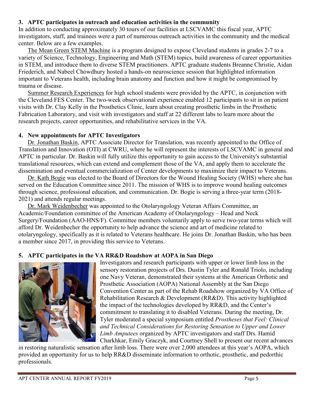### **3. APTC participates in outreach and education activities in the community**

In addition to conducting approximately 30 tours of our facilities at LSCVAMC this fiscal year, APTC investigators, staff, and trainees were a part of numerous outreach activities in the community and the medical center. Below are a few examples.

The Mean Green STEM Machine is a program designed to expose Cleveland students in grades 2-7 to a variety of Science, Technology, Engineering and Math (STEM) topics, build awareness of career opportunities in STEM, and introduce them to diverse STEM practitioners. APTC graduate students Breanne Christie, Aidan Friederich, and Nabeel Chowdhury hosted a hands-on neuroscience session that highlighted information important to Veterans health, including brain anatomy and function and how it might be compromised by trauma or disease.

Summer Research Experiences for high school students were provided by the APTC, in conjunction with the Cleveland FES Center. The two-week observational experience enabled 12 participants to sit in on patient visits with Dr. Clay Kelly in the Prosthetics Clinic, learn about creating prosthetic limbs in the Prosthetic Fabrication Laboratory, and visit with investigators and staff at 22 different labs to learn more about the research projects, career opportunities, and rehabilitative services in the VA.

#### **4. New appointments for APTC Investigators**

Dr. Jonathan Baskin, APTC Associate Director for Translation, was recently appointed to the Office of Translation and Innovation (OTI) at CWRU, where he will represent the interests of LSCVAMC in general and APTC in particular. Dr. Baskin will fully utilize this opportunity to gain access to the University's substantial translational resources, which can extend and complement those of the VA, and apply them to accelerate the dissemination and eventual commercialization of Center developments to maximize their impact to Veterans.

Dr. Kath Bogie was elected to the Board of Directors for the Wound Healing Society (WHS) where she has served on the Education Committee since 2011. The mission of WHS is to improve wound healing outcomes through science, professional education, and communication. Dr. Bogie is serving a three-year term (2018- 2021) and attends regular meetings.

Dr. Mark Weidenbecher was appointed to the Otolaryngology Veteran Affairs Committee, an Academic/Foundation committee of the American Academy of Otolaryngology – Head and Neck Surgery/Foundation (AAO-HNS/F). Committee members voluntarily apply to serve two-year terms which will afford Dr. Weidenbecher the opportunity to help advance the science and art of medicine related to otolaryngology, specifically as it is related to Veterans healthcare. He joins Dr. Jonathan Baskin, who has been a member since 2017, in providing this service to Veterans.

### **5. APTC participates in the VA RR&D Roadshow at AOPA in San Diego**



Investigators and research participants with upper or lower limb loss in the sensory restoration projects of Drs. Dustin Tyler and Ronald Triolo, including one Navy Veteran, demonstrated their systems at the American Orthotic and Prosthetic Association (AOPA) National Assembly at the San Diego Convention Center as part of the Rehab Roadshow organized by VA Office of Rehabilitation Research & Development (RR&D). This activity highlighted the impact of the technologies developed by RR&D, and the Center's commitment to translating it to disabled Veterans. During the meeting, Dr. Tyler moderated a special symposium entitled *Prostheses that Feel: Clinical and Technical Considerations for Restoring Sensation to Upper and Lower Limb Amputees* organized by APTC investigators and staff Drs. Hamid Charkhkar, Emily Graczyk, and Courtney Shell to present our recent advances

in restoring naturalistic sensation after limb loss. There were over 2,000 attendees at this year's AOPA, which provided an opportunity for us to help RR&D disseminate information to orthotic, prosthetic, and pedorthic professionals.